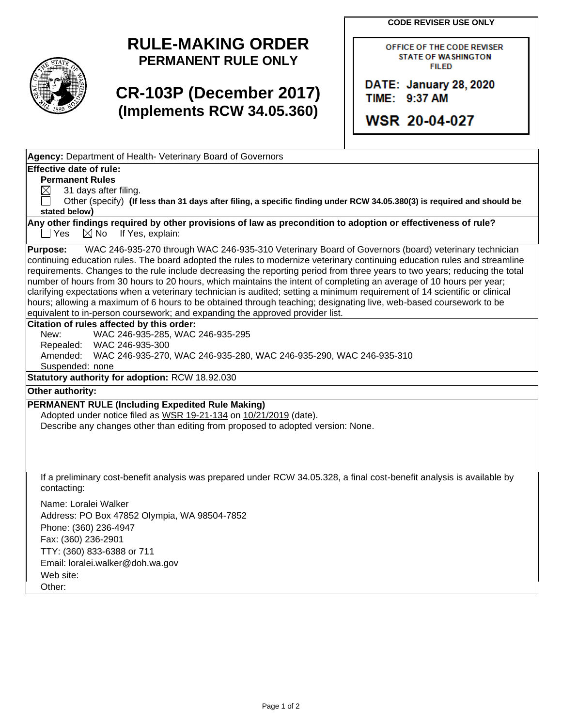**CODE REVISER USE ONLY**

## **RULE-MAKING ORDER PERMANENT RULE ONLY**

## **CR-103P (December 2017) (Implements RCW 34.05.360)**

OFFICE OF THE CODE REVISER **STATE OF WASHINGTON FILED** 

**DATE: January 28, 2020** TIME: 9:37 AM

**WSR 20-04-027** 

**Agency:** Department of Health- Veterinary Board of Governors **Effective date of rule: Permanent Rules**  $\boxtimes$  31 days after filing. Other (specify) **(If less than 31 days after filing, a specific finding under RCW 34.05.380(3) is required and should be stated below) Any other findings required by other provisions of law as precondition to adoption or effectiveness of rule?**  $\Box$  Yes  $\boxtimes$  No If Yes, explain: **Purpose:** WAC 246-935-270 through WAC 246-935-310 Veterinary Board of Governors (board) veterinary technician continuing education rules. The board adopted the rules to modernize veterinary continuing education rules and streamline requirements. Changes to the rule include decreasing the reporting period from three years to two years; reducing the total number of hours from 30 hours to 20 hours, which maintains the intent of completing an average of 10 hours per year; clarifying expectations when a veterinary technician is audited; setting a minimum requirement of 14 scientific or clinical hours; allowing a maximum of 6 hours to be obtained through teaching; designating live, web-based coursework to be equivalent to in-person coursework; and expanding the approved provider list. **Citation of rules affected by this order:** New: WAC 246-935-285, WAC 246-935-295 Repealed: WAC 246-935-300 Amended: WAC 246-935-270, WAC 246-935-280, WAC 246-935-290, WAC 246-935-310 Suspended: none **Statutory authority for adoption:** RCW 18.92.030 **Other authority: PERMANENT RULE (Including Expedited Rule Making)** Adopted under notice filed as WSR 19-21-134 on 10/21/2019 (date). Describe any changes other than editing from proposed to adopted version: None. If a preliminary cost-benefit analysis was prepared under RCW 34.05.328, a final cost-benefit analysis is available by contacting: Name: Loralei Walker Address: PO Box 47852 Olympia, WA 98504-7852 Phone: (360) 236-4947 Fax: (360) 236-2901 TTY: (360) 833-6388 or 711 Email: loralei.walker@doh.wa.gov Web site: Other: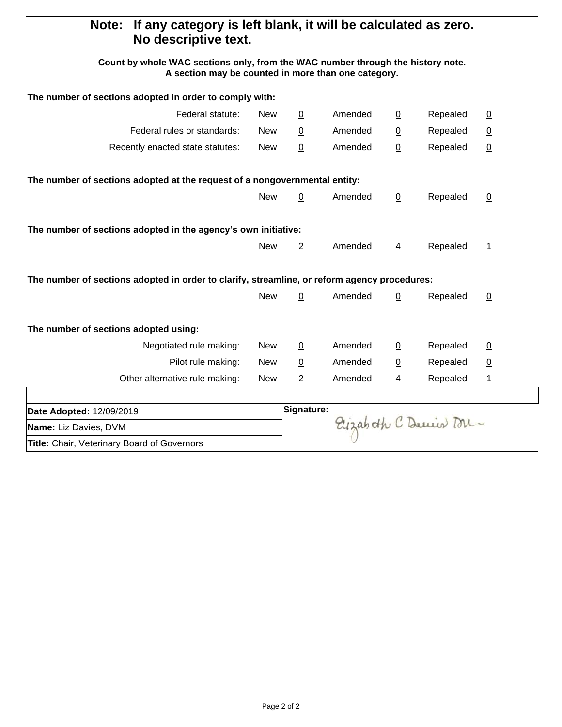| If any category is left blank, it will be calculated as zero.<br>Note:<br>No descriptive text.                                         |                      |                 |                |                |                 |                 |  |
|----------------------------------------------------------------------------------------------------------------------------------------|----------------------|-----------------|----------------|----------------|-----------------|-----------------|--|
| Count by whole WAC sections only, from the WAC number through the history note.<br>A section may be counted in more than one category. |                      |                 |                |                |                 |                 |  |
| The number of sections adopted in order to comply with:                                                                                |                      |                 |                |                |                 |                 |  |
| Federal statute:                                                                                                                       | <b>New</b>           | $\overline{0}$  | Amended        | $\overline{0}$ | Repealed        | $\underline{0}$ |  |
| Federal rules or standards:                                                                                                            | $\overline{0}$       | Amended         | $\overline{0}$ | Repealed       | $\underline{0}$ |                 |  |
| Recently enacted state statutes:                                                                                                       | <b>New</b>           | $\pmb{0}$       | Amended        | $\pmb{0}$      | Repealed        | $\underline{0}$ |  |
| The number of sections adopted at the request of a nongovernmental entity:                                                             |                      |                 |                |                |                 |                 |  |
|                                                                                                                                        | <b>New</b>           | $\underline{0}$ | Amended        | $\overline{0}$ | Repealed        | $\overline{0}$  |  |
| The number of sections adopted in the agency's own initiative:                                                                         |                      |                 |                |                |                 |                 |  |
|                                                                                                                                        | <b>New</b>           | $\overline{2}$  | Amended        | $\overline{4}$ | Repealed        | $\overline{1}$  |  |
| The number of sections adopted in order to clarify, streamline, or reform agency procedures:                                           |                      |                 |                |                |                 |                 |  |
|                                                                                                                                        | <b>New</b>           | $\overline{0}$  | Amended        | 0              | Repealed        | $\overline{0}$  |  |
| The number of sections adopted using:                                                                                                  |                      |                 |                |                |                 |                 |  |
| Negotiated rule making:                                                                                                                | <b>New</b>           | $\overline{0}$  | Amended        | $\overline{0}$ | Repealed        | $\underline{0}$ |  |
| Pilot rule making:                                                                                                                     | <b>New</b>           | $\overline{0}$  | Amended        | $\overline{0}$ | Repealed        | $\underline{0}$ |  |
| Other alternative rule making:                                                                                                         | <b>New</b>           | $\overline{c}$  | Amended        | $\overline{4}$ | Repealed        | $\overline{1}$  |  |
| Date Adopted: 12/09/2019                                                                                                               | Signature:           |                 |                |                |                 |                 |  |
| Name: Liz Davies, DVM                                                                                                                  | Elizabeth C Denis M- |                 |                |                |                 |                 |  |
| Title: Chair, Veterinary Board of Governors                                                                                            |                      |                 |                |                |                 |                 |  |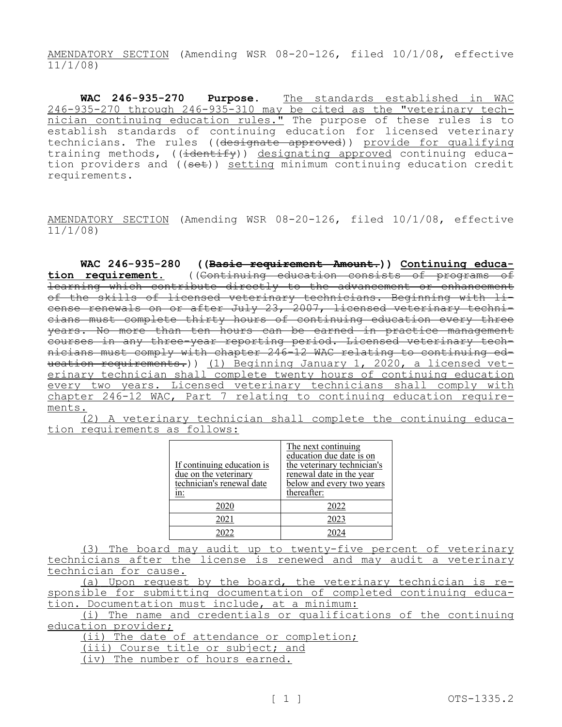AMENDATORY SECTION (Amending WSR 08-20-126, filed 10/1/08, effective 11/1/08)

**WAC 246-935-270 Purpose.** The standards established in WAC 246-935-270 through 246-935-310 may be cited as the "veterinary technician continuing education rules." The purpose of these rules is to establish standards of continuing education for licensed veterinary technicians. The rules ((designate approved)) provide for qualifying training methods,  $((\frac{1}{1+\epsilon}, \epsilon))$  designating approved continuing education providers and ((set)) setting minimum continuing education credit requirements.

AMENDATORY SECTION (Amending WSR 08-20-126, filed 10/1/08, effective 11/1/08)

**WAC 246-935-280 ((Basic requirement Amount.)) Continuing educa-<br>
<u>tion requirement.</u> ((Continuing education consists of programs of tion requirement.** ((Continuing education consists of programs of learning which contribute directly to the advancement or enhancement of the skills of licensed veterinary technicians. Beginning with license renewals on or after July 23, 2007, licensed veterinary technicians must complete thirty hours of continuing education every three years. No more than ten hours can be earned in practice management courses in any three-year reporting period. Licensed veterinary technicians must comply with chapter 246-12 WAC relating to continuing education requirements.)) (1) Beginning January 1, 2020, a licensed veterinary technician shall complete twenty hours of continuing education every two years. Licensed veterinary technicians shall comply with chapter 246-12 WAC, Part 7 relating to continuing education requirements.

(2) A veterinary technician shall complete the continuing education requirements as follows:

|                            | The next continuing         |  |  |  |  |  |
|----------------------------|-----------------------------|--|--|--|--|--|
|                            | education due date is on    |  |  |  |  |  |
| If continuing education is | the veterinary technician's |  |  |  |  |  |
| due on the veterinary      | renewal date in the year    |  |  |  |  |  |
| technician's renewal date  | below and every two years   |  |  |  |  |  |
| in:                        | thereafter:                 |  |  |  |  |  |
| 2020                       | 2022                        |  |  |  |  |  |
| 2021                       | 2023                        |  |  |  |  |  |
| 2022                       | 2024                        |  |  |  |  |  |

(3) The board may audit up to twenty-five percent of veterinary technicians after the license is renewed and may audit a veterinary technician for cause.

(a) Upon request by the board, the veterinary technician is responsible for submitting documentation of completed continuing education. Documentation must include, at a minimum:

(i) The name and credentials or qualifications of the continuing education provider;

(ii) The date of attendance or completion;

(iii) Course title or subject; and

(iv) The number of hours earned.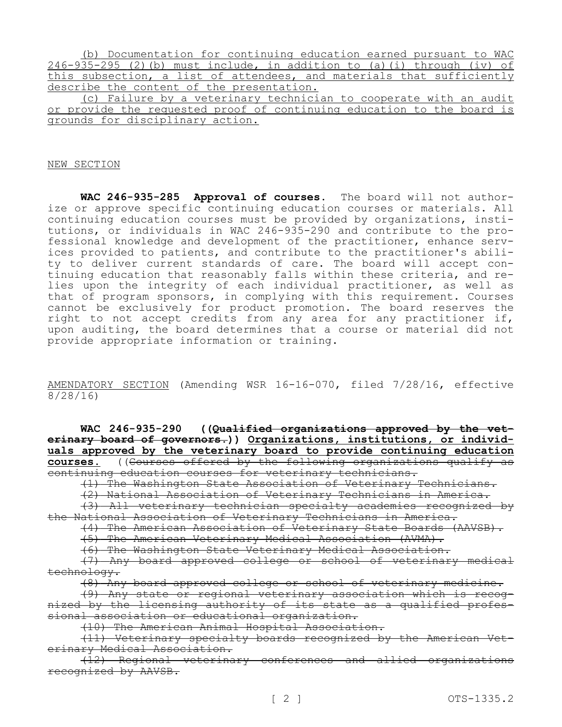|  |  |  |  |                                           |  |  | (b) Documentation for continuing education earned pursuant to WAC        |  |
|--|--|--|--|-------------------------------------------|--|--|--------------------------------------------------------------------------|--|
|  |  |  |  |                                           |  |  | $246-935-295$ (2)(b) must include, in addition to (a)(i) through (iv) of |  |
|  |  |  |  |                                           |  |  | this subsection, a list of attendees, and materials that sufficiently    |  |
|  |  |  |  | describe the content of the presentation. |  |  |                                                                          |  |

(c) Failure by a veterinary technician to cooperate with an audit or provide the requested proof of continuing education to the board is grounds for disciplinary action.

NEW SECTION

**WAC 246-935-285 Approval of courses.** The board will not authorize or approve specific continuing education courses or materials. All continuing education courses must be provided by organizations, institutions, or individuals in WAC 246-935-290 and contribute to the professional knowledge and development of the practitioner, enhance services provided to patients, and contribute to the practitioner's ability to deliver current standards of care. The board will accept continuing education that reasonably falls within these criteria, and relies upon the integrity of each individual practitioner, as well as that of program sponsors, in complying with this requirement. Courses cannot be exclusively for product promotion. The board reserves the right to not accept credits from any area for any practitioner if, upon auditing, the board determines that a course or material did not provide appropriate information or training.

AMENDATORY SECTION (Amending WSR 16-16-070, filed 7/28/16, effective 8/28/16)

**WAC 246-935-290 ((Qualified organizations approved by the veterinary board of governors.)) Organizations, institutions, or individuals approved by the veterinary board to provide continuing education courses.** ((Courses offered by the following organizations qualify as continuing education courses for veterinary technicians.

(1) The Washington State Association of Veterinary Technicians.

(2) National Association of Veterinary Technicians in America.

(3) All veterinary technician specialty academies recognized by the National Association of Veterinary Technicians in America.

(4) The American Association of Veterinary State Boards (AAVSB).

(5) The American Veterinary Medical Association (AVMA).

(6) The Washington State Veterinary Medical Association.

(7) Any board approved college or school of veterinary medical technology.

(8) Any board approved college or school of veterinary medicine.

(9) Any state or regional veterinary association which is recognized by the licensing authority of its state as a qualified professional association or educational organization.

(10) The American Animal Hospital Association.

(11) Veterinary specialty boards recognized by the American Veterinary Medical Association.

(12) Regional veterinary conferences and allied organizations recognized by AAVSB.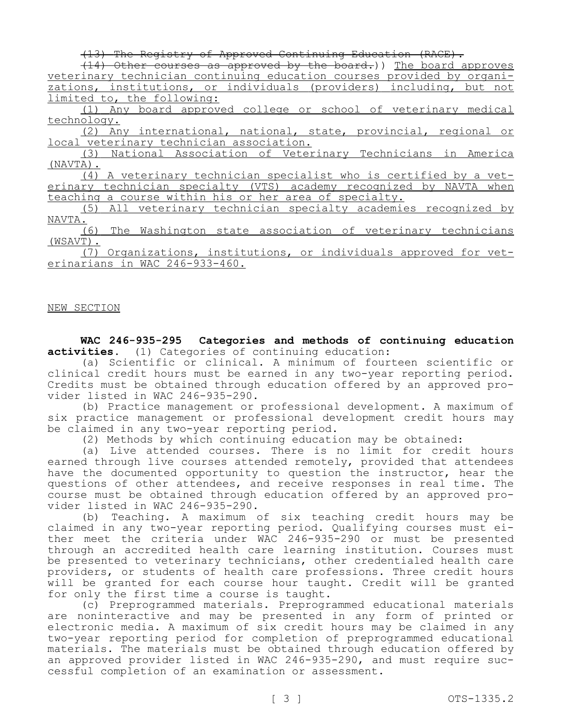(13) The Registry of Approved Continuing Education (RACE).

(14) Other courses as approved by the board.)) The board approves veterinary technician continuing education courses provided by organizations, institutions, or individuals (providers) including, but not limited to, the following:

(1) Any board approved college or school of veterinary medical technology.

(2) Any international, national, state, provincial, regional or local veterinary technician association.

(3) National Association of Veterinary Technicians in America (NAVTA).

(4) A veterinary technician specialist who is certified by a veterinary technician specialty (VTS) academy recognized by NAVTA when teaching a course within his or her area of specialty.

(5) All veterinary technician specialty academies recognized by NAVTA.

(6) The Washington state association of veterinary technicians (WSAVT).

(7) Organizations, institutions, or individuals approved for veterinarians in WAC 246-933-460.

## NEW SECTION

**WAC 246-935-295 Categories and methods of continuing education activities.** (1) Categories of continuing education:

(a) Scientific or clinical. A minimum of fourteen scientific or clinical credit hours must be earned in any two-year reporting period. Credits must be obtained through education offered by an approved provider listed in WAC 246-935-290.

(b) Practice management or professional development. A maximum of six practice management or professional development credit hours may be claimed in any two-year reporting period.

(2) Methods by which continuing education may be obtained:

(a) Live attended courses. There is no limit for credit hours earned through live courses attended remotely, provided that attendees have the documented opportunity to question the instructor, hear the questions of other attendees, and receive responses in real time. The course must be obtained through education offered by an approved provider listed in WAC 246-935-290.

(b) Teaching. A maximum of six teaching credit hours may be claimed in any two-year reporting period. Qualifying courses must either meet the criteria under WAC 246-935-290 or must be presented through an accredited health care learning institution. Courses must be presented to veterinary technicians, other credentialed health care providers, or students of health care professions. Three credit hours will be granted for each course hour taught. Credit will be granted for only the first time a course is taught.

(c) Preprogrammed materials. Preprogrammed educational materials are noninteractive and may be presented in any form of printed or electronic media. A maximum of six credit hours may be claimed in any two-year reporting period for completion of preprogrammed educational materials. The materials must be obtained through education offered by an approved provider listed in WAC 246-935-290, and must require successful completion of an examination or assessment.